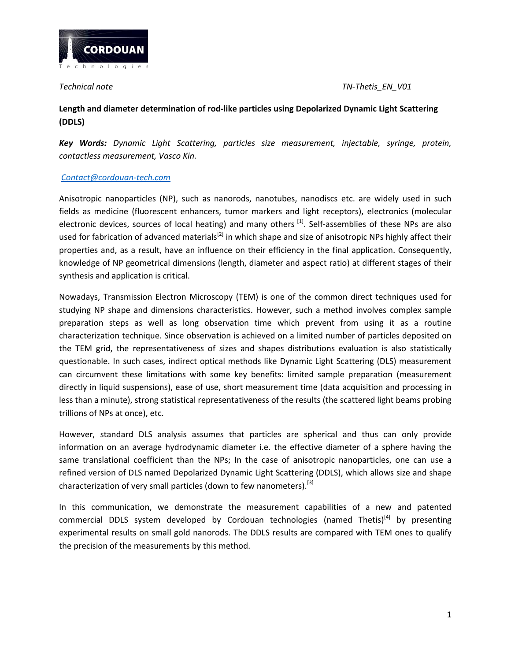

# **Length and diameter determination of rod-like particles using Depolarized Dynamic Light Scattering (DDLS)**

*Key Words: Dynamic Light Scattering, particles size measurement, injectable, syringe, protein, contactless measurement, Vasco Kin.*

## *[Contact@cordouan-tech.com](mailto:Contact@cordouan-tech.com)*

Anisotropic nanoparticles (NP), such as nanorods, nanotubes, nanodiscs etc. are widely used in such fields as medicine (fluorescent enhancers, tumor markers and light receptors), electronics (molecular electronic devices, sources of local heating) and many others <sup>[1]</sup>. Self-assemblies of these NPs are also used for fabrication of advanced materials<sup>[2]</sup> in which shape and size of anisotropic NPs highly affect their properties and, as a result, have an influence on their efficiency in the final application. Consequently, knowledge of NP geometrical dimensions (length, diameter and aspect ratio) at different stages of their synthesis and application is critical.

Nowadays, Transmission Electron Microscopy (TEM) is one of the common direct techniques used for studying NP shape and dimensions characteristics. However, such a method involves complex sample preparation steps as well as long observation time which prevent from using it as a routine characterization technique. Since observation is achieved on a limited number of particles deposited on the TEM grid, the representativeness of sizes and shapes distributions evaluation is also statistically questionable. In such cases, indirect optical methods like Dynamic Light Scattering (DLS) measurement can circumvent these limitations with some key benefits: limited sample preparation (measurement directly in liquid suspensions), ease of use, short measurement time (data acquisition and processing in less than a minute), strong statistical representativeness of the results (the scattered light beams probing trillions of NPs at once), etc.

However, standard DLS analysis assumes that particles are spherical and thus can only provide information on an average hydrodynamic diameter i.e. the effective diameter of a sphere having the same translational coefficient than the NPs; In the case of anisotropic nanoparticles, one can use a refined version of DLS named Depolarized Dynamic Light Scattering (DDLS), which allows size and shape characterization of very small particles (down to few nanometers).<sup>[3]</sup>

In this communication, we demonstrate the measurement capabilities of a new and patented commercial DDLS system developed by Cordouan technologies (named Thetis) $^{[4]}$  by presenting experimental results on small gold nanorods. The DDLS results are compared with TEM ones to qualify the precision of the measurements by this method.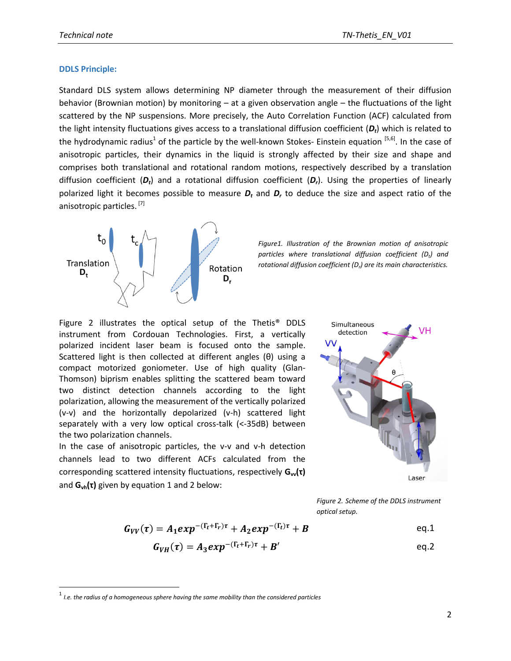### **DDLS Principle:**

 $\overline{a}$ 

Standard DLS system allows determining NP diameter through the measurement of their diffusion behavior (Brownian motion) by monitoring – at a given observation angle – the fluctuations of the light scattered by the NP suspensions. More precisely, the Auto Correlation Function (ACF) calculated from the light intensity fluctuations gives access to a translational diffusion coefficient (*Dt*) which is related to the hydrodynamic radius<sup>1</sup> of the particle by the well-known Stokes- Einstein equation <sup>[5,6]</sup>. In the case of anisotropic particles, their dynamics in the liquid is strongly affected by their size and shape and comprises both translational and rotational random motions, respectively described by a translation diffusion coefficient (*Dt*) and a rotational diffusion coefficient (*Dr*). Using the properties of linearly polarized light it becomes possible to measure *D<sup>t</sup>* and *D<sup>r</sup>* to deduce the size and aspect ratio of the anisotropic particles.<sup>[7]</sup>



*Figure1. Illustration of the Brownian motion of anisotropic particles where translational diffusion coefficient (D<sup>t</sup> ) and rotational diffusion coefficient (D<sup>r</sup> ) are its main characteristics.*

Figure 2 illustrates the optical setup of the Thetis® DDLS instrument from Cordouan Technologies. First, a vertically polarized incident laser beam is focused onto the sample. Scattered light is then collected at different angles (θ) using a compact motorized goniometer. Use of high quality (Glan-Thomson) biprism enables splitting the scattered beam toward two distinct detection channels according to the light polarization, allowing the measurement of the vertically polarized (v-v) and the horizontally depolarized (v-h) scattered light separately with a very low optical cross-talk (<-35dB) between the two polarization channels.

In the case of anisotropic particles, the v-v and v-h detection channels lead to two different ACFs calculated from the corresponding scattered intensity fluctuations, respectively  $G<sub>w</sub>(τ)$ and **Gvh(τ)** given by equation 1 and 2 below:



*Figure 2. Scheme of the DDLS instrument optical setup.*

$$
G_{VV}(\tau) = A_1 exp^{-(\Gamma_t + \Gamma_r)\tau} + A_2 exp^{-(\Gamma_t)\tau} + B
$$
 eq.1

$$
G_{VH}(\tau) = A_3 exp^{-(\Gamma_t + \Gamma_r)\tau} + B'
$$

<sup>1</sup> *I.e. the radius of a homogeneous sphere having the same mobility than the considered particles*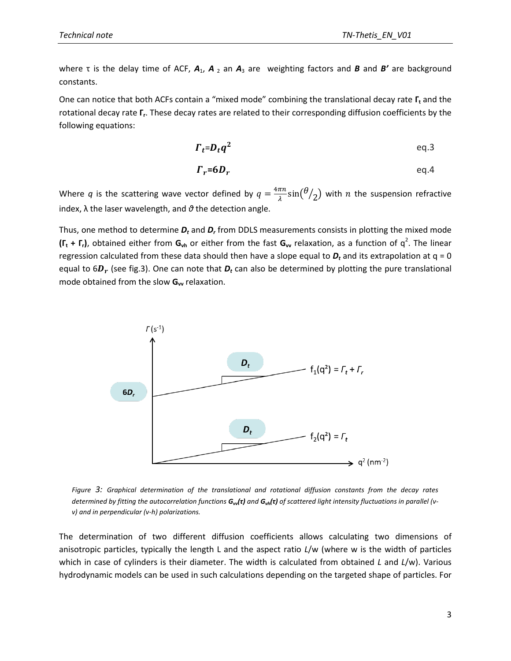where  $\tau$  is the delay time of ACF,  $A_1$ ,  $A_2$  an  $A_3$  are weighting factors and *B* and *B'* are background constants.

One can notice that both ACFs contain a "mixed mode" combining the translational decay rate **Γ<sup>t</sup>** and the rotational decay rate Γ<sub>r</sub>. These decay rates are related to their corresponding diffusion coefficients by the following equations:

$$
\Gamma_t = D_t q^2 \qquad \qquad \text{eq.3}
$$

$$
\boldsymbol{\Gamma}_r = \boldsymbol{6}\boldsymbol{D}_r \qquad \qquad \text{eq.4}
$$

Where *q* is the scattering wave vector defined by  $q = \frac{4\pi n}{\lambda}$  $rac{\pi n}{\lambda}$ sin $(\theta)$  $\mathcal{O}_2$ ) with  $n$  the suspension refractive index, λ the laser wavelength, and *θ* the detection angle.

Thus, one method to determine *D<sup>t</sup>* and *D<sup>r</sup>* from DDLS measurements consists in plotting the mixed mode  $(\Gamma_t + \Gamma_r)$ , obtained either from  $G_{vh}$  or either from the fast  $G_{vv}$  relaxation, as a function of  $q^2$ . The linear regression calculated from these data should then have a slope equal to *D<sup>t</sup>* and its extrapolation at q = 0 equal to 6 $D_r$  (see fig.3). One can note that  $D_t$  can also be determined by plotting the pure translational mode obtained from the slow G<sub>w</sub> relaxation.



*Figure 3: Graphical determination of the translational and rotational diffusion constants from the decay rates determined by fitting the autocorrelation functions Gvv(τ) and Gvh(τ) of scattered light intensity fluctuations in parallel (vv) and in perpendicular (v-h) polarizations.*

The determination of two different diffusion coefficients allows calculating two dimensions of anisotropic particles, typically the length L and the aspect ratio *L*/w (where w is the width of particles which in case of cylinders is their diameter. The width is calculated from obtained *L* and *L*/w). Various hydrodynamic models can be used in such calculations depending on the targeted shape of particles. For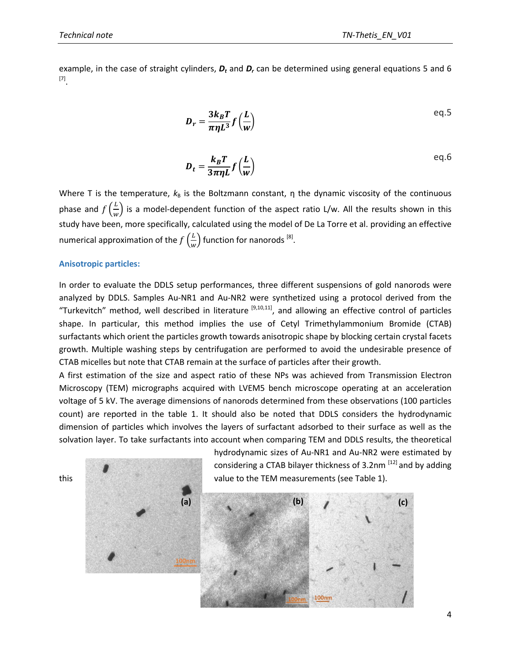example, in the case of straight cylinders, *D<sup>t</sup>* and *D<sup>r</sup>* can be determined using general equations 5 and 6 [7] .

$$
D_r = \frac{3k_B T}{\pi \eta L^3} f\left(\frac{L}{w}\right)
$$

$$
D_t = \frac{k_B T}{3\pi \eta L} f\left(\frac{L}{w}\right)
$$

Where T is the temperature,  $k_B$  is the Boltzmann constant, η the dynamic viscosity of the continuous phase and  $f\left(\frac{L}{m}\right)$  $\frac{L}{w}$ ) is a model-dependent function of the aspect ratio L/w. All the results shown in this study have been, more specifically, calculated using the model of De La Torre et al. providing an effective numerical approximation of the  $f\left(\frac{L}{v}\right)$  $\frac{L}{W}$ ) function for nanorods  $^{[8]}$ .

#### **Anisotropic particles:**

In order to evaluate the DDLS setup performances, three different suspensions of gold nanorods were analyzed by DDLS. Samples Au-NR1 and Au-NR2 were synthetized using a protocol derived from the "Turkevitch" method, well described in literature <sup>[9,10,11]</sup>, and allowing an effective control of particles shape. In particular, this method implies the use of Cetyl Trimethylammonium Bromide (CTAB) surfactants which orient the particles growth towards anisotropic shape by blocking certain crystal facets growth. Multiple washing steps by centrifugation are performed to avoid the undesirable presence of CTAB micelles but note that CTAB remain at the surface of particles after their growth.

A first estimation of the size and aspect ratio of these NPs was achieved from Transmission Electron Microscopy (TEM) micrographs acquired with LVEM5 bench microscope operating at an acceleration voltage of 5 kV. The average dimensions of nanorods determined from these observations (100 particles count) are reported in the table 1. It should also be noted that DDLS considers the hydrodynamic dimension of particles which involves the layers of surfactant adsorbed to their surface as well as the solvation layer. To take surfactants into account when comparing TEM and DDLS results, the theoretical

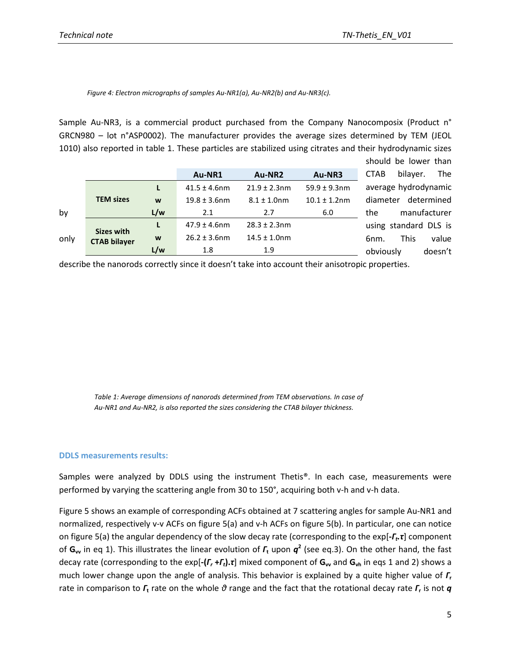#### *Figure 4: Electron micrographs of samples Au-NR1(a), Au-NR2(b) and Au-NR3(c).*

Sample Au-NR3, is a commercial product purchased from the Company Nanocomposix (Product n° GRCN980 – lot n°ASP0002). The manufacturer provides the average sizes determined by TEM (JEOL 1010) also reported in table 1. These particles are stabilized using citrates and their hydrodynamic sizes should be lower than

|      |                     |     | Au-NR1            | Au-NR2            | Au-NR3            | bilaver.<br><b>The</b><br><b>CTAB</b> |
|------|---------------------|-----|-------------------|-------------------|-------------------|---------------------------------------|
|      |                     |     | $41.5 \pm 4.6$ nm | $21.9 \pm 2.3$ nm | $59.9 \pm 9.3$ nm | average hydrodynamic                  |
|      | <b>TEM sizes</b>    | W   | $19.8 \pm 3.6$ nm | $8.1 \pm 1.0$ nm  | $10.1 \pm 1.2$ nm | determined<br>diameter                |
| by   |                     | L/w | 2.1               | 2.7               | 6.0               | manufacturer<br>the                   |
|      | <b>Sizes with</b>   | L   | $47.9 \pm 4.6$ nm | $28.3 \pm 2.3$ nm |                   | using standard DLS is                 |
| only | <b>CTAB bilayer</b> | W   | $26.2 \pm 3.6$ nm | $14.5 \pm 1.0$ nm |                   | <b>This</b><br>value<br>6nm.          |
|      |                     | L/w | 1.8               | 1.9               |                   | doesn't<br>obviously                  |

describe the nanorods correctly since it doesn't take into account their anisotropic properties.

*Table 1: Average dimensions of nanorods determined from TEM observations. In case of Au-NR1 and Au-NR2, is also reported the sizes considering the CTAB bilayer thickness.*

#### **DDLS measurements results:**

Samples were analyzed by DDLS using the instrument Thetis®. In each case, measurements were performed by varying the scattering angle from 30 to 150°, acquiring both v-h and v-h data.

Figure 5 shows an example of corresponding ACFs obtained at 7 scattering angles for sample Au-NR1 and normalized, respectively v-v ACFs on figure 5(a) and v-h ACFs on figure 5(b). In particular, one can notice on figure 5(a) the angular dependency of the slow decay rate (corresponding to the exp[**-***Γ<sup>t</sup> .τ*] component of **Gvv** in eq 1). This illustrates the linear evolution of *Γ***<sup>t</sup>** upon *q* **2** (see eq.3). On the other hand, the fast decay rate (corresponding to the exp[**-(***Γ<sup>r</sup>* **+***Γt***).***τ*] mixed component of **Gvv** and **Gvh** in eqs 1 and 2) shows a much lower change upon the angle of analysis. This behavior is explained by a quite higher value of *Γ***<sup>r</sup>** rate in comparison to *Γ***<sup>t</sup>** rate on the whole *θ* range and the fact that the rotational decay rate *Γ***<sup>r</sup>** is not *q*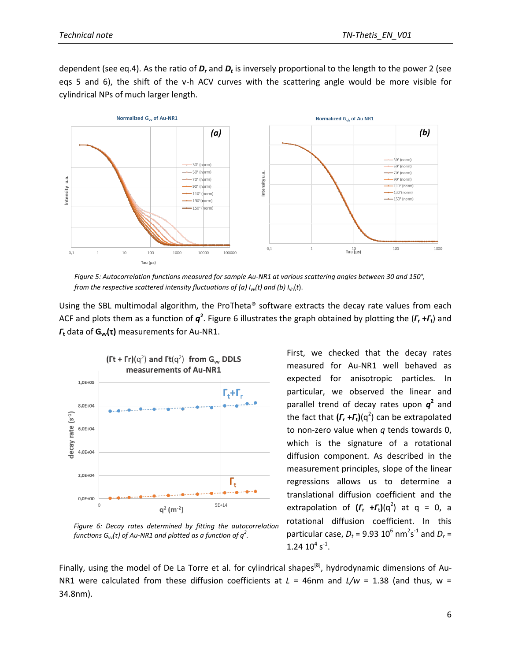dependent (see eq.4). As the ratio of  $D_r$  and  $D_t$  is inversely proportional to the length to the power 2 (see eqs 5 and 6), the shift of the v-h ACV curves with the scattering angle would be more visible for cylindrical NPs of much larger length.



*Figure 5: Autocorrelation functions measured for sample Au-NR1 at various scattering angles between 30 and 150°, from the respective scattered intensity fluctuations of (a) Ivv (t) and (b) I*vh(*t*).

Using the SBL multimodal algorithm, the ProTheta® software extracts the decay rate values from each ACF and plots them as a function of *q* **2** . Figure 6 illustrates the graph obtained by plotting the (*Γ***<sup>r</sup> +***Γ***t**) and *Γ***<sup>t</sup>** data of **Gvv(τ)** measurements for Au-NR1.



*Figure 6: Decay rates determined by fitting the autocorrelation functions Gvv(τ) of Au-NR1 and plotted as a function of q<sup>2</sup> .*

First, we checked that the decay rates measured for Au-NR1 well behaved as expected for anisotropic particles. In particular, we observed the linear and parallel trend of decay rates upon  $q^2$  and the fact that **(***Γ***<sup>r</sup> +***Γ***t)**(q 2 ) can be extrapolated to non-zero value when *q* tends towards 0, which is the signature of a rotational diffusion component. As described in the measurement principles, slope of the linear regressions allows us to determine a translational diffusion coefficient and the extrapolation of  $(r_r + r_t)(q^2)$  at  $q = 0$ , a rotational diffusion coefficient. In this particular case,  $D_t$  = 9.93  $10^6$  nm<sup>2</sup>s<sup>-1</sup> and  $D_r$  =  $1.24~10^4$  s<sup>-1</sup>.

Finally, using the model of De La Torre et al. for cylindrical shapes<sup>[8]</sup>, hydrodynamic dimensions of Au-NR1 were calculated from these diffusion coefficients at  $L = 46$ nm and  $L/w = 1.38$  (and thus, w = 34.8nm).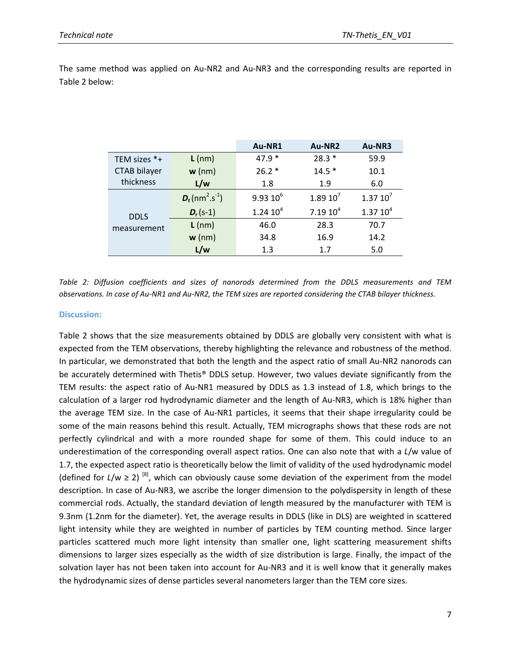|                |  |  |  |  | The same method was applied on Au-NR2 and Au-NR3 and the corresponding results are reported in |  |  |
|----------------|--|--|--|--|------------------------------------------------------------------------------------------------|--|--|
| Table 2 below: |  |  |  |  |                                                                                                |  |  |

|              |                                           | Au-NR1              | Au-NR2              | Au-NR3              |  |
|--------------|-------------------------------------------|---------------------|---------------------|---------------------|--|
| TEM sizes *+ | $L$ (nm)                                  | $47.9*$             | $28.3*$             | 59.9                |  |
| CTAB bilayer | $w$ (nm)                                  | $26.2*$             | $14.5*$             | 10.1                |  |
| thickness    | L/w                                       | 1.8                 | 1.9                 | 6.0                 |  |
|              | $D_t$ (nm <sup>2</sup> .s <sup>-1</sup> ) | $9.9310^{6}$        | $1.89 10^7$         | $1.37 10^7$         |  |
| <b>DDLS</b>  | $D_r (s-1)$                               | 1.2410 <sup>4</sup> | 7.1910 <sup>4</sup> | 1.3710 <sup>4</sup> |  |
| measurement  | $L$ (nm)                                  | 46.0                | 28.3                | 70.7                |  |
|              | $w$ (nm)                                  | 34.8                | 16.9                | 14.2                |  |
|              | L/w                                       | 1.3                 | 1.7                 | 5.0                 |  |

*Table 2: Diffusion coefficients and sizes of nanorods determined from the DDLS measurements and TEM observations. In case of Au-NR1 and Au-NR2, the TEM sizes are reported considering the CTAB bilayer thickness.*

## **Discussion:**

Table 2 shows that the size measurements obtained by DDLS are globally very consistent with what is expected from the TEM observations, thereby highlighting the relevance and robustness of the method. In particular, we demonstrated that both the length and the aspect ratio of small Au-NR2 nanorods can be accurately determined with Thetis® DDLS setup. However, two values deviate significantly from the TEM results: the aspect ratio of Au-NR1 measured by DDLS as 1.3 instead of 1.8, which brings to the calculation of a larger rod hydrodynamic diameter and the length of Au-NR3, which is 18% higher than the average TEM size. In the case of Au-NR1 particles, it seems that their shape irregularity could be some of the main reasons behind this result. Actually, TEM micrographs shows that these rods are not perfectly cylindrical and with a more rounded shape for some of them. This could induce to an underestimation of the corresponding overall aspect ratios. One can also note that with a *L*/w value of 1.7, the expected aspect ratio is theoretically below the limit of validity of the used hydrodynamic model (defined for  $L/w \ge 2$ ) <sup>[8]</sup>, which can obviously cause some deviation of the experiment from the model description. In case of Au-NR3, we ascribe the longer dimension to the polydispersity in length of these commercial rods. Actually, the standard deviation of length measured by the manufacturer with TEM is 9.3nm (1.2nm for the diameter). Yet, the average results in DDLS (like in DLS) are weighted in scattered light intensity while they are weighted in number of particles by TEM counting method. Since larger particles scattered much more light intensity than smaller one, light scattering measurement shifts dimensions to larger sizes especially as the width of size distribution is large. Finally, the impact of the solvation layer has not been taken into account for Au-NR3 and it is well know that it generally makes the hydrodynamic sizes of dense particles several nanometers larger than the TEM core sizes.